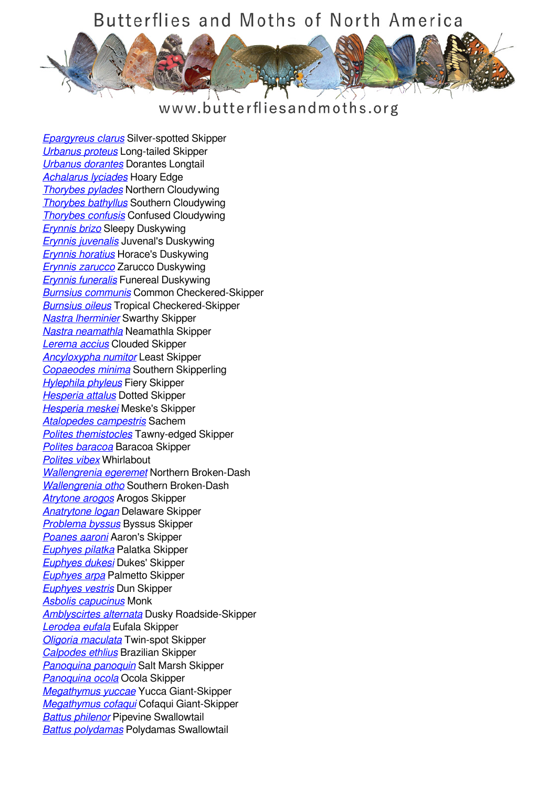#### www.butterfliesandmoths.org

*[Epargyreus clarus](/species/Epargyreus-clarus)* Silver-spotted Skipper *[Urbanus proteus](/species/Urbanus-proteus)* Long-tailed Skipper *[Urbanus dorantes](/species/Urbanus-dorantes)* Dorantes Longtail *[Achalarus lyciades](/species/Achalarus-lyciades)* Hoary Edge *[Thorybes pylades](/species/Thorybes-pylades)* Northern Cloudywing *[Thorybes bathyllus](/species/Thorybes-bathyllus)* Southern Cloudywing *[Thorybes confusis](/species/Thorybes-confusis)* Confused Cloudywing *[Erynnis brizo](/species/Erynnis-brizo)* Sleepy Duskywing *[Erynnis juvenalis](/species/Erynnis-juvenalis)* Juvenal's Duskywing *[Erynnis horatius](/species/Erynnis-horatius)* Horace's Duskywing *[Erynnis zarucco](/species/Erynnis-zarucco)* Zarucco Duskywing *[Erynnis funeralis](/species/Erynnis-funeralis)* Funereal Duskywing *[Burnsius communis](/species/Pyrgus-communis)* Common Checkered-Skipper *[Burnsius oileus](/species/Pyrgus-oileus)* Tropical Checkered-Skipper *[Nastra lherminier](/species/Nastra-lherminier)* Swarthy Skipper *[Nastra neamathla](/species/Nastra-neamathla)* Neamathla Skipper *[Lerema accius](/species/Lerema-accius)* Clouded Skipper *[Ancyloxypha numitor](/species/Ancyloxypha-numitor)* Least Skipper *[Copaeodes minima](/species/Copaeodes-minima)* Southern Skipperling *[Hylephila phyleus](/species/Hylephila-phyleus)* Fiery Skipper *[Hesperia attalus](/species/Hesperia-attalus)* Dotted Skipper *[Hesperia meskei](/species/Hesperia-meskei)* Meske's Skipper *[Atalopedes campestris](/species/Atalopedes-campestris)* Sachem *[Polites themistocles](/species/Polites-themistocles)* Tawny-edged Skipper *[Polites baracoa](/species/Polites-baracoa)* Baracoa Skipper *[Polites vibex](/species/Polites-vibex)* Whirlabout *[Wallengrenia egeremet](/species/Wallengrenia-egeremet)* Northern Broken-Dash *[Wallengrenia otho](/species/Wallengrenia-otho)* Southern Broken-Dash *[Atrytone arogos](/species/Atrytone-arogos)* Arogos Skipper *[Anatrytone logan](/species/Anatrytone-logan)* Delaware Skipper *[Problema byssus](/species/Problema-byssus)* Byssus Skipper *[Poanes aaroni](/species/Poanes-aaroni)* Aaron's Skipper *[Euphyes pilatka](/species/Euphyes-pilatka)* Palatka Skipper *[Euphyes dukesi](/species/Euphyes-dukesi)* Dukes' Skipper *[Euphyes arpa](/species/Euphyes-arpa)* Palmetto Skipper *[Euphyes vestris](/species/Euphyes-vestris)* Dun Skipper *[Asbolis capucinus](/species/Asbolis-capucinus)* Monk *[Amblyscirtes alternata](/species/Amblyscirtes-alternata)* Dusky Roadside-Skipper *[Lerodea eufala](/species/Lerodea-eufala)* Eufala Skipper *[Oligoria maculata](/species/Oligoria-maculata)* Twin-spot Skipper *[Calpodes ethlius](/species/Calpodes-ethlius)* Brazilian Skipper *[Panoquina panoquin](/species/Panoquina-panoquin)* Salt Marsh Skipper *[Panoquina ocola](/species/Panoquina-ocola)* Ocola Skipper *[Megathymus yuccae](/species/Megathymus-yuccae)* Yucca Giant-Skipper *[Megathymus cofaqui](/species/Megathymus-cofaqui)* Cofaqui Giant-Skipper *[Battus philenor](/species/Battus-philenor)* Pipevine Swallowtail *[Battus polydamas](/species/Battus-polydamas)* Polydamas Swallowtail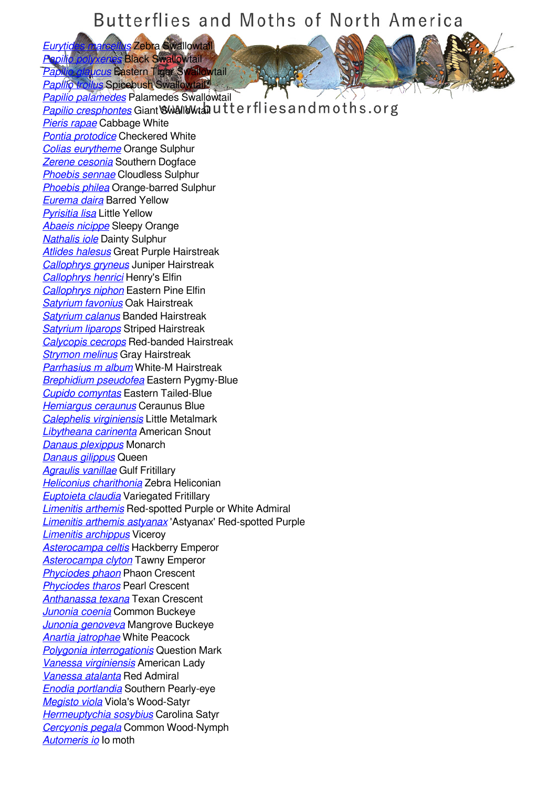*[Eurytides marcellus](/species/Eurytides-marcellus)* Zebra Swallowtail *[Papilio polyxenes](/species/Papilio-polyxenes)* Black Swallowtail

*[Papilio glaucus](/species/Papilio-glaucus)* Eastern Tiger Swallowtail *[Papilio troilus](/species/Papilio-troilus)* Spicebush Swallowtail

*[Papilio palamedes](/species/Papilio-palamedes)* Palamedes Swallowtail **[Papilio cresphontes](/species/Papilio-cresphontes)** Giant Swallowtan utterflies and moths.org *[Pieris rapae](/species/Pieris-rapae)* Cabbage White *[Pontia protodice](/species/Pontia-protodice)* Checkered White *[Colias eurytheme](/species/Colias-eurytheme)* Orange Sulphur *[Zerene cesonia](/species/Zerene-cesonia)* Southern Dogface *[Phoebis sennae](/species/Phoebis-sennae)* Cloudless Sulphur *[Phoebis philea](/species/Phoebis-philea)* Orange-barred Sulphur *[Eurema daira](/species/Eurema-daira)* Barred Yellow *[Pyrisitia lisa](/species/Pyrisitia-lisa)* Little Yellow *[Abaeis nicippe](/species/Abaeis-nicippe)* Sleepy Orange *[Nathalis iole](/species/Nathalis-iole)* Dainty Sulphur *[Atlides halesus](/species/Atlides-halesus)* Great Purple Hairstreak *[Callophrys gryneus](/species/Callophrys-gryneus)* Juniper Hairstreak *[Callophrys henrici](/species/Callophrys-henrici)* Henry's Elfin *[Callophrys niphon](/species/Callophrys-niphon)* Eastern Pine Elfin *[Satyrium favonius](/species/Satyrium-favonius)* Oak Hairstreak *[Satyrium calanus](/species/Satyrium-calanus)* Banded Hairstreak *[Satyrium liparops](/species/Satyrium-liparops)* Striped Hairstreak *[Calycopis cecrops](/species/Calycopis-cecrops)* Red-banded Hairstreak *[Strymon melinus](/species/Strymon-melinus)* Gray Hairstreak *[Parrhasius m album](/species/Parrhasius-m-album)* White-M Hairstreak *[Brephidium pseudofea](/species/Brephidium-pseudofea)* Eastern Pygmy-Blue *[Cupido comyntas](/species/Cupido-comyntas)* Eastern Tailed-Blue *[Hemiargus ceraunus](/species/Hemiargus-ceraunus)* Ceraunus Blue *[Calephelis virginiensis](/species/Calephelis-virginiensis)* Little Metalmark *[Libytheana carinenta](/species/Libytheana-carinenta)* American Snout *[Danaus plexippus](/species/Danaus-plexippus)* Monarch *[Danaus gilippus](/species/Danaus-gilippus)* Queen *[Agraulis vanillae](/species/Agraulis-vanillae)* Gulf Fritillary *[Heliconius charithonia](/species/Heliconius-charithonia)* Zebra Heliconian *[Euptoieta claudia](/species/Euptoieta-claudia)* Variegated Fritillary *[Limenitis arthemis](/species/Limenitis-arthemis)* Red-spotted Purple or White Admiral *[Limenitis arthemis astyanax](/species/Limenitis-arthemis-astyanax)* 'Astyanax' Red-spotted Purple *[Limenitis archippus](/species/Limenitis-archippus)* Viceroy *[Asterocampa celtis](/species/Asterocampa-celtis)* Hackberry Emperor *[Asterocampa clyton](/species/Asterocampa-clyton)* Tawny Emperor *[Phyciodes phaon](/species/Phyciodes-phaon)* Phaon Crescent *[Phyciodes tharos](/species/Phyciodes-tharos)* Pearl Crescent *[Anthanassa texana](/species/Anthanassa-texana)* Texan Crescent *[Junonia coenia](/species/Junonia-coenia)* Common Buckeye *[Junonia genoveva](/species/Junonia-genoveva)* Mangrove Buckeye *[Anartia jatrophae](/species/Anartia-jatrophae)* White Peacock *[Polygonia interrogationis](/species/Polygonia-interrogationis)* Question Mark *[Vanessa virginiensis](/species/Vanessa-virginiensis)* American Lady *[Vanessa atalanta](/species/Vanessa-atalanta)* Red Admiral *[Enodia portlandia](/species/Enodia-portlandia)* Southern Pearly-eye *[Megisto viola](/species/Megisto-viola)* Viola's Wood-Satyr *[Hermeuptychia sosybius](/species/Hermeuptychia-sosybius)* Carolina Satyr *[Cercyonis pegala](/species/Cercyonis-pegala)* Common Wood-Nymph *[Automeris io](/species/Automeris-io)* Io moth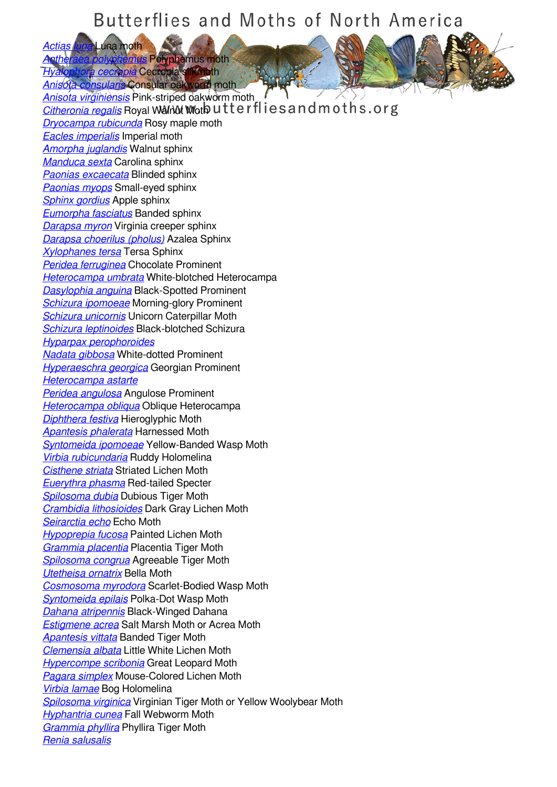*[Actias luna](/species/Actias-luna)* Luna moth *Anus Polyphemus moth* 

*[Hyalophora cecropia](/species/Hyalophora-cecropia)* Cecropia silkmoth

*[Anisota consularis](/species/Anisota-consularis)* Consular oakworm moth *[Anisota virginiensis](/species/Anisota-virginiensis)* Pink-striped oakworm moth **[Citheronia regalis](/species/Citheronia-regalis)** Royal Walnut Woth utterflies and moths.org *[Dryocampa rubicunda](/species/Dryocampa-rubicunda)* Rosy maple moth *[Eacles imperialis](/species/Eacles-imperialis)* Imperial moth *[Amorpha juglandis](/species/Amorpha-juglandis)* Walnut sphinx *[Manduca sexta](/species/Manduca-sexta)* Carolina sphinx *[Paonias excaecata](/species/Paonias-excaecata)* Blinded sphinx *[Paonias myops](/species/Paonias-myops)* Small-eyed sphinx *[Sphinx gordius](/species/Sphinx-gordius)* Apple sphinx *[Eumorpha fasciatus](/species/Eumorpha-fasciatus)* Banded sphinx *[Darapsa myron](/species/Darapsa-myron)* Virginia creeper sphinx *[Darapsa choerilus \(pholus\)](/species/Darapsa-choerilus-%28pholus%29)* Azalea Sphinx *[Xylophanes tersa](/species/Xylophanes-tersa)* Tersa Sphinx *[Peridea ferruginea](/species/Peridea-ferruginea)* Chocolate Prominent *[Heterocampa umbrata](/species/Heterocampa-umbrata)* White-blotched Heterocampa *[Dasylophia anguina](/species/Dasylophia-anguina)* Black-Spotted Prominent *[Schizura ipomoeae](/species/Schizura-ipomoeae)* Morning-glory Prominent *[Schizura unicornis](/species/Schizura-unicornis)* Unicorn Caterpillar Moth *[Schizura leptinoides](/species/Schizura-leptinoides)* Black-blotched Schizura *[Hyparpax perophoroides](/species/Hyparpax-perophoroides) [Nadata gibbosa](/species/Nadata-gibbosa)* White-dotted Prominent *[Hyperaeschra georgica](/species/Hyperaeschra-georgica)* Georgian Prominent *[Heterocampa astarte](/species/Heterocampa-astarte) [Peridea angulosa](/species/Peridea-angulosa)* Angulose Prominent *[Heterocampa obliqua](/species/Heterocampa-obliqua)* Oblique Heterocampa *[Diphthera festiva](/species/Diphthera-festiva)* Hieroglyphic Moth *[Apantesis phalerata](/species/Apantesis-phalerata)* Harnessed Moth *[Syntomeida ipomoeae](/species/Syntomeida-ipomoeae)* Yellow-Banded Wasp Moth *[Virbia rubicundaria](/species/Virbia-rubicundaria)* Ruddy Holomelina *[Cisthene striata](/species/Cisthene-striata)* Striated Lichen Moth *[Euerythra phasma](/species/Euerythra-phasma)* Red-tailed Specter *[Spilosoma dubia](/species/Spilosoma-dubia)* Dubious Tiger Moth *[Crambidia lithosioides](/species/Crambidia-lithosioides)* Dark Gray Lichen Moth *[Seirarctia echo](/species/Seirarctia-echo)* Echo Moth *[Hypoprepia fucosa](/species/Hypoprepia-fucosa)* Painted Lichen Moth *[Grammia placentia](/species/Grammia-placentia)* Placentia Tiger Moth *[Spilosoma congrua](/species/Spilosoma-congrua)* Agreeable Tiger Moth *[Utetheisa ornatrix](/species/Utetheisa-ornatrix)* Bella Moth *[Cosmosoma myrodora](/species/Cosmosoma-myrodora)* Scarlet-Bodied Wasp Moth *[Syntomeida epilais](/species/Syntomeida-epilais)* Polka-Dot Wasp Moth *[Dahana atripennis](/species/Dahana-atripennis)* Black-Winged Dahana *[Estigmene acrea](/species/Estigmene-acrea)* Salt Marsh Moth or Acrea Moth *[Apantesis vittata](/species/Apantesis-vittata)* Banded Tiger Moth *[Clemensia albata](/species/Clemensia-albata)* Little White Lichen Moth *[Hypercompe scribonia](/species/Hypercompe-scribonia)* Great Leopard Moth *[Pagara simplex](/species/Pagara-simplex)* Mouse-Colored Lichen Moth *[Virbia lamae](/species/Virbia-lamae)* Bog Holomelina *[Spilosoma virginica](/species/Spilosoma-virginica)* Virginian Tiger Moth or Yellow Woolybear Moth *[Hyphantria cunea](/species/Hyphantria-cunea)* Fall Webworm Moth *[Grammia phyllira](/species/Grammia-phyllira)* Phyllira Tiger Moth *[Renia salusalis](/species/Renia-salusalis)*